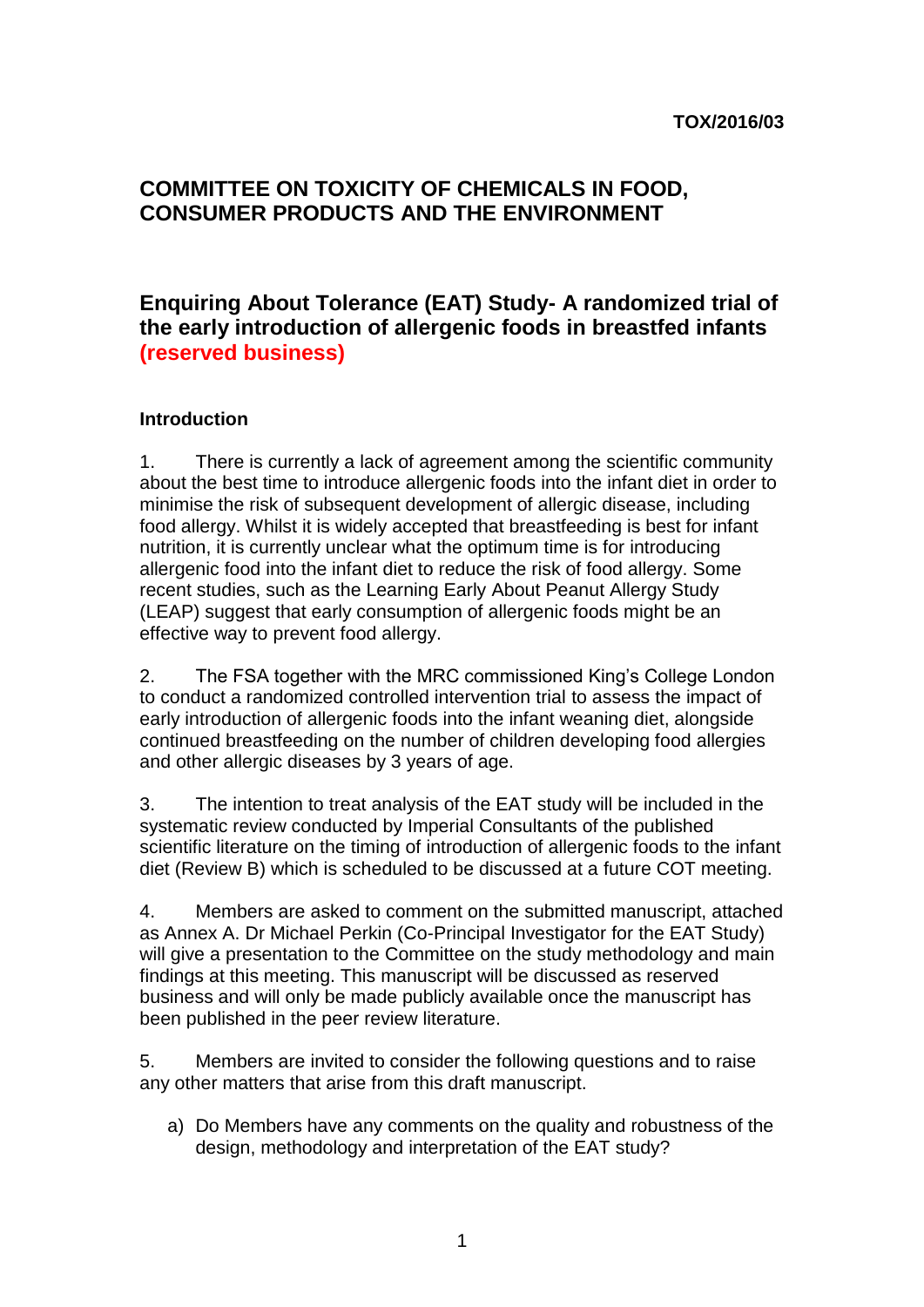### **TOX/2016/03**

# **COMMITTEE ON TOXICITY OF CHEMICALS IN FOOD, CONSUMER PRODUCTS AND THE ENVIRONMENT**

# **Enquiring About Tolerance (EAT) Study- A randomized trial of the early introduction of allergenic foods in breastfed infants (reserved business)**

#### **Introduction**

1. There is currently a lack of agreement among the scientific community about the best time to introduce allergenic foods into the infant diet in order to minimise the risk of subsequent development of allergic disease, including food allergy. Whilst it is widely accepted that breastfeeding is best for infant nutrition, it is currently unclear what the optimum time is for introducing allergenic food into the infant diet to reduce the risk of food allergy. Some recent studies, such as the Learning Early About Peanut Allergy Study (LEAP) suggest that early consumption of allergenic foods might be an effective way to prevent food allergy.

2. The FSA together with the MRC commissioned King's College London to conduct a randomized controlled intervention trial to assess the impact of early introduction of allergenic foods into the infant weaning diet, alongside continued breastfeeding on the number of children developing food allergies and other allergic diseases by 3 years of age.

3. The intention to treat analysis of the EAT study will be included in the systematic review conducted by Imperial Consultants of the published scientific literature on the timing of introduction of allergenic foods to the infant diet (Review B) which is scheduled to be discussed at a future COT meeting.

4. Members are asked to comment on the submitted manuscript, attached as Annex A. Dr Michael Perkin (Co-Principal Investigator for the EAT Study) will give a presentation to the Committee on the study methodology and main findings at this meeting. This manuscript will be discussed as reserved business and will only be made publicly available once the manuscript has been published in the peer review literature.

5. Members are invited to consider the following questions and to raise any other matters that arise from this draft manuscript.

a) Do Members have any comments on the quality and robustness of the design, methodology and interpretation of the EAT study?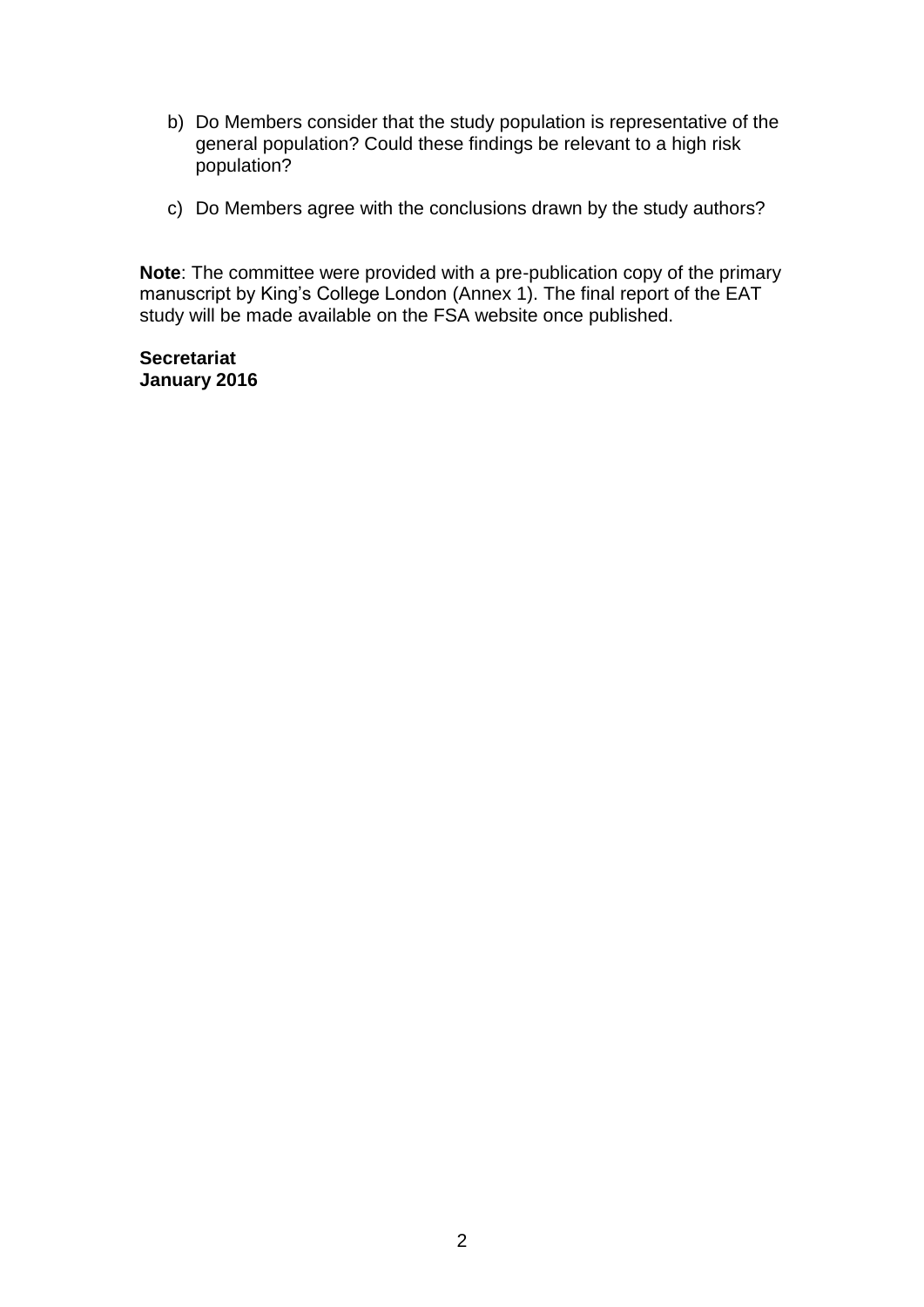- b) Do Members consider that the study population is representative of the general population? Could these findings be relevant to a high risk population?
- c) Do Members agree with the conclusions drawn by the study authors?

**Note**: The committee were provided with a pre-publication copy of the primary manuscript by King's College London (Annex 1). The final report of the EAT study will be made available on the FSA website once published.

**Secretariat January 2016**